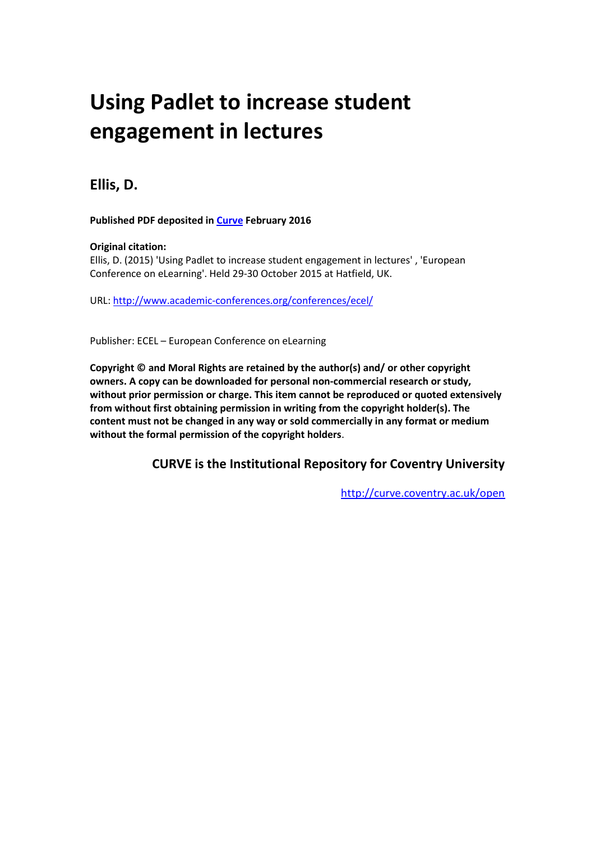# **Using Padlet to increase student engagement in lectures**

# **Ellis, D.**

**Published PDF deposited in Curve February 2016** 

# **Original citation:**

[Ellis, D. \(2015\) 'Using Padlet to increase student engagement in l](http://www.academic-conferences.org/conferences/ecel/)ectures' , 'European Conference on eLearning'. Held 29-30 October 2015 at Hatfield, UK.

URL: http://www.academic-conferences.org/conferences/ecel/

Publisher: ECEL – European Conference on eLearning

**Copyright © and Moral Rights are retained by the author(s) and/ or other copyright owners. A copy can be downloaded for personal non-commercial research or study, without prior permission or charge. This item cannot be reproduced or quoted extensively from without first obtaining permission in writing from the copyright holder(s). The content must not be changed in any way or sold commercially in any format or medium without the formal permission of the copyright holders**.

**CURVE is the Institutional Repository for Coventry University** 

http://curve.coventry.ac.uk/open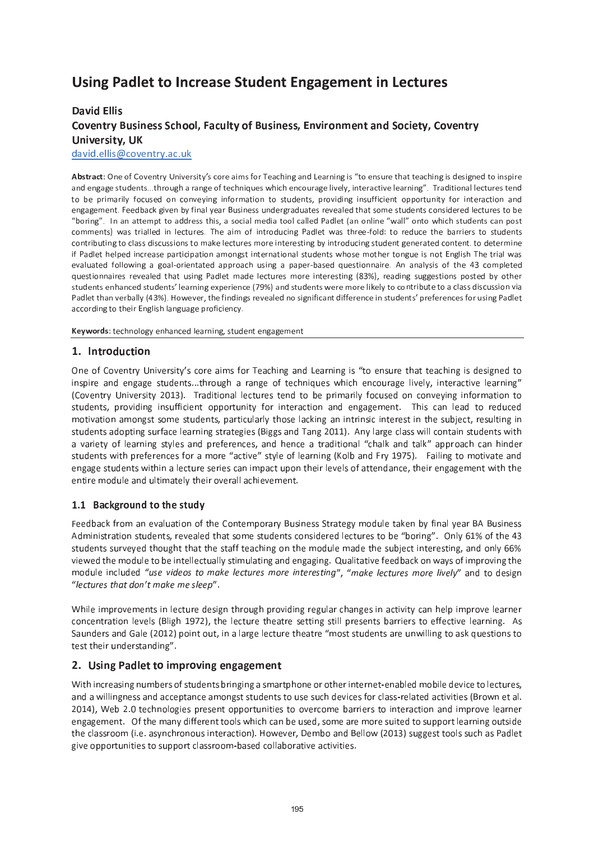# Using Padlet to Increase Student Engagement in Lectures

# **David Ellis Coventry Business School, Faculty of Business, Environment and Society, Coventry University, UK** david.ellis@coventry.ac.uk

Abstract: One of Coventry University's core aims for Teaching and Learning is "to ensure that teaching is designed to inspire and engage students...through a range of techniques which encourage lively, interactive learning". Traditional lectures tend to be primarily focused on conveying information to students, providing insufficient opportunity for interaction and engagement. Feedback given by final year Business undergraduates revealed that some students considered lectures to be "boring". In an attempt to address this, a social media tool called Padlet (an online "wall" onto which students can post comments) was trialled in lectures. The aim of introducing Padlet was three-fold: to reduce the barriers to students contributing to class discussions to make lectures more interesting by introducing student generated content, to determine if Padlet helped increase participation amongst international students whose mother tongue is not English The trial was evaluated following a goal-orientated approach using a paper-based questionnaire. An analysis of the 43 completed questionnaires revealed that using Padlet made lectures more interesting (83%), reading suggestions posted by other students enhanced students' learning experience (79%) and students were more likely to contribute to a class discussion via Padlet than verbally (43%). However, the findings revealed no significant difference in students' preferences for using Padlet according to their English language proficiency.

Keywords: technology enhanced learning, student engagement

# 1. Introduction

One of Coventry University's core aims for Teaching and Learning is "to ensure that teaching is designed to inspire and engage students...through a range of techniques which encourage lively, interactive learning" (Coventry University 2013). Traditional lectures tend to be primarily focused on conveying information to students, providing insufficient opportunity for interaction and engagement. This can lead to reduced motivation amongst some students, particularly those lacking an intrinsic interest in the subject, resulting in students adopting surface learning strategies (Biggs and Tang 2011). Any large class will contain students with a variety of learning styles and preferences, and hence a traditional "chalk and talk" approach can hinder students with preferences for a more "active" style of learning (Kolb and Fry 1975). Failing to motivate and engage students within a lecture series can impact upon their levels of attendance, their engagement with the entire module and ultimately their overall achievement.

# 1.1 Background to the study

Feedback from an evaluation of the Contemporary Business Strategy module taken by final year BA Business Administration students, revealed that some students considered lectures to be "boring". Only 61% of the 43 students surveyed thought that the staff teaching on the module made the subject interesting, and only 66% viewed the module to be intellectually stimulating and engaging. Qualitative feedback on ways of improving the module included "use videos to make lectures more interesting", "make lectures more lively" and to design "lectures that don't make me sleep".

While improvements in lecture design through providing regular changes in activity can help improve learner concentration levels (Bligh 1972), the lecture theatre setting still presents barriers to effective learning. As Saunders and Gale (2012) point out, in a large lecture theatre "most students are unwilling to ask questions to test their understanding".

# 2. Using Padlet to improving engagement

With increasing numbers of students bringing a smartphone or other internet-enabled mobile device to lectures. and a willingness and acceptance amongst students to use such devices for class-related activities (Brown et al. 2014). Web 2.0 technologies present opportunities to overcome barriers to interaction and improve learner engagement. Of the many different tools which can be used, some are more suited to support learning outside the classroom (i.e. asynchronous interaction). However, Dembo and Bellow (2013) suggest tools such as Padlet give opportunities to support classroom-based collaborative activities.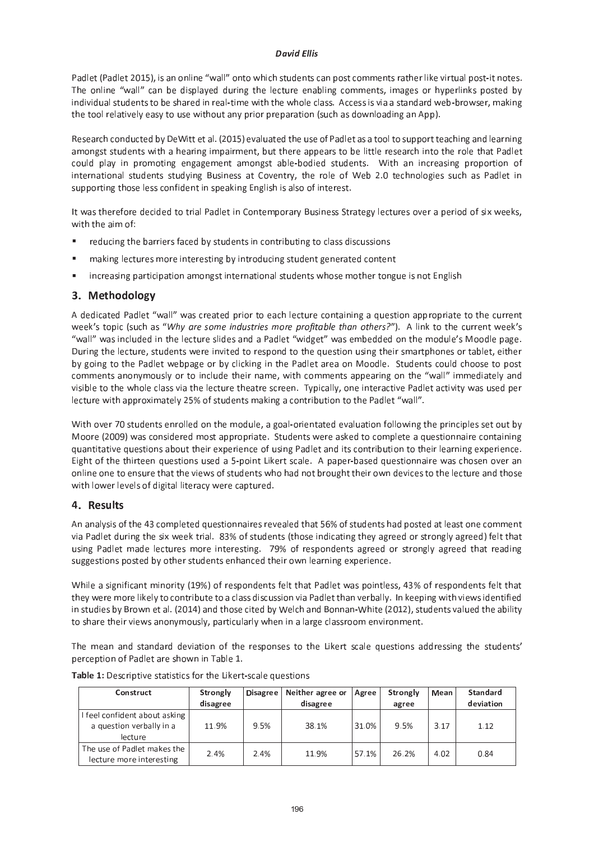#### David Filis

Padlet (Padlet 2015), is an online "wall" onto which students can post comments rather like virtual post-it notes. The online "wall" can be displayed during the lecture enabling comments, images or hyperlinks posted by individual students to be shared in real-time with the whole class. Access is via a standard web-browser, making the tool relatively easy to use without any prior preparation (such as downloading an App).

Research conducted by DeWitt et al. (2015) evaluated the use of Padlet as a tool to support teaching and learning amongst students with a hearing impairment, but there appears to be little research into the role that Padlet could play in promoting engagement amongst able-bodied students. With an increasing proportion of international students studying Business at Coventry, the role of Web 2.0 technologies such as Padlet in supporting those less confident in speaking English is also of interest.

It was therefore decided to trial Padlet in Contemporary Business Strategy lectures over a period of six weeks, with the aim of:

- reducing the barriers faced by students in contributing to class discussions
- making lectures more interesting by introducing student generated content
- $\blacksquare$ increasing participation amongst international students whose mother tongue is not English

# 3. Methodology

A dedicated Padlet "wall" was created prior to each lecture containing a question appropriate to the current week's topic (such as "Why are some industries more profitable than others?"). A link to the current week's "wall" was included in the lecture slides and a Padlet "widget" was embedded on the module's Moodle page. During the lecture, students were invited to respond to the question using their smartphones or tablet, either by going to the Padlet webpage or by clicking in the Padlet area on Moodle. Students could choose to post comments anonymously or to include their name, with comments appearing on the "wall" immediately and visible to the whole class via the lecture theatre screen. Typically, one interactive Padlet activity was used per lecture with approximately 25% of students making a contribution to the Padlet "wall".

With over 70 students enrolled on the module, a goal-orientated evaluation following the principles set out by Moore (2009) was considered most appropriate. Students were asked to complete a questionnaire containing quantitative questions about their experience of using Padlet and its contribution to their learning experience. Eight of the thirteen questions used a 5-point Likert scale. A paper-based questionnaire was chosen over an online one to ensure that the views of students who had not brought their own devices to the lecture and those with lower levels of digital literacy were captured.

# 4. Results

An analysis of the 43 completed questionnaires revealed that 56% of students had posted at least one comment via Padlet during the six week trial. 83% of students (those indicating they agreed or strongly agreed) felt that using Padlet made lectures more interesting. 79% of respondents agreed or strongly agreed that reading suggestions posted by other students enhanced their own learning experience.

While a significant minority (19%) of respondents felt that Padlet was pointless, 43% of respondents felt that they were more likely to contribute to a class discussion via Padlet than verbally. In keeping with views identified in studies by Brown et al. (2014) and those cited by Welch and Bonnan-White (2012), students valued the ability to share their views anonymously, particularly when in a large classroom environment.

The mean and standard deviation of the responses to the Likert scale questions addressing the students' perception of Padlet are shown in Table 1.

| Construct                                                            | Strongly<br>disagree | Disagree | Neither agree or<br>disagree | Agree | Strongly<br>agree | Mean  | Standard<br>deviation |
|----------------------------------------------------------------------|----------------------|----------|------------------------------|-------|-------------------|-------|-----------------------|
| I feel confident about asking<br>a question verbally in a<br>lecture | 11.9%                | 9.5%     | 38.1%                        | 31.0% | 9.5%              | 3 1 7 | 1.12                  |
| The use of Padlet makes the<br>lecture more interesting              | 2.4%                 | 2.4%     | 11.9%                        | 57.1% | 26.2%             | 4.02  | 0.84                  |

Table 1: Descriptive statistics for the Likert-scale questions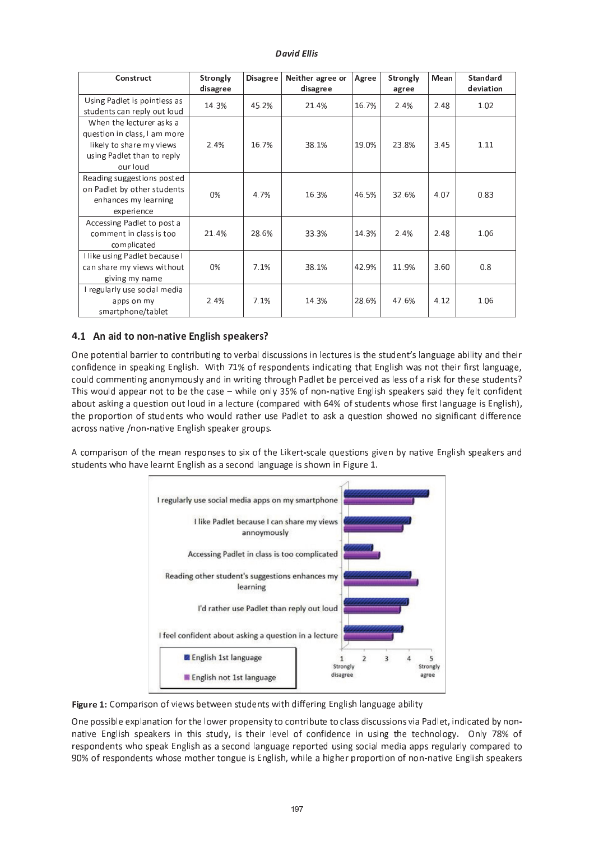| David Ellis |  |
|-------------|--|
|-------------|--|

| Construct                                                                                                                      | Strongly<br>disagree | <b>Disagree</b> | Neither agree or<br>disagree | Agree | Strongly<br>agree | Mean | <b>Standard</b><br>deviation |
|--------------------------------------------------------------------------------------------------------------------------------|----------------------|-----------------|------------------------------|-------|-------------------|------|------------------------------|
| Using Padlet is pointless as<br>students can reply out loud                                                                    | 14.3%                | 45.2%           | 21.4%                        | 16.7% | 2.4%              | 2.48 | 1.02                         |
| When the lecturer asks a<br>question in class, I am more<br>likely to share my views<br>using Padlet than to reply<br>our loud | 2.4%                 | 16.7%           | 38.1%                        | 19.0% | 23.8%             | 3.45 | 1.11                         |
| Reading suggestions posted<br>on Padlet by other students<br>enhances my learning<br>experience                                | 0%                   | 4.7%            | 16.3%                        | 46.5% | 32.6%             | 4.07 | 0.83                         |
| Accessing Padlet to post a<br>comment in class is too<br>complicated                                                           | 21.4%                | 28.6%           | 33.3%                        | 14.3% | 2.4%              | 2.48 | 1.06                         |
| I like using Padlet because I<br>can share my views without<br>giving my name                                                  | 0%                   | 7.1%            | 38.1%                        | 42.9% | 11.9%             | 3.60 | 0.8                          |
| I regularly use social media<br>apps on my<br>smartphone/tablet                                                                | 2.4%                 | 7.1%            | 14.3%                        | 28.6% | 47.6%             | 4.12 | 1.06                         |

# 4.1 An aid to non-native English speakers?

One potential barrier to contributing to verbal discussions in lectures is the student's language ability and their <sup>Ã</sup> ¯ <sup>²</sup> <sup>È</sup> · <sup>Á</sup> <sup>±</sup> <sup>²</sup> <sup>Ã</sup> <sup>±</sup> · <sup>²</sup> ¸ <sup>Æ</sup> <sup>±</sup> <sup>À</sup> <sup>Ì</sup> · <sup>²</sup> <sup>É</sup> <sup>3</sup> <sup>²</sup> <sup>É</sup> · ¸ <sup>Ë</sup> <sup>¾</sup> · <sup>³</sup> <sup>Ë</sup> » <sup>ñ</sup> ¯ <sup>È</sup> ´ <sup>±</sup> ¸ <sup>Æ</sup> ¯ <sup>²</sup> <sup>Á</sup> <sup>±</sup> <sup>²</sup> <sup>³</sup> ¸ · <sup>²</sup> <sup>Á</sup> · <sup>Ã</sup> <sup>À</sup> <sup>³</sup> · <sup>²</sup> <sup>É</sup> <sup>³</sup> <sup>Ë</sup> <sup>À</sup> <sup>³</sup> <sup>3</sup> <sup>²</sup> <sup>É</sup> · ¸ <sup>Ë</sup> <sup>Ð</sup> <sup>À</sup> ¸ <sup>²</sup> ¯ <sup>³</sup> <sup>³</sup> <sup>Ë</sup> <sup>±</sup> · ´ <sup>È</sup> · ´ ¸ <sup>³</sup> À <sup>²</sup> <sup>É</sup> <sup>Ä</sup> <sup>À</sup> <sup>É</sup> <sup>±</sup> <sup>Ê</sup> could commenting anonymously and in writing through Padlet be perceived as less of a risk for these students? This would appear not to be the case  $-$  while only 35% of non-native English speakers said they felt confident about asking a question out loud in a lecture (compared with 64% of students whose first language is English). the proportion of students who would rather use Padlet to ask a question showed no significant difference across native /non-native English speaker groups.

A comparison of the mean responses to six of the Likert-scale questions given by native English speakers and ¸ <sup>³</sup> <sup>Ä</sup> <sup>Á</sup> <sup>±</sup> <sup>²</sup> <sup>³</sup> ¸ <sup>Ð</sup> <sup>Ë</sup> ¯ <sup>Ë</sup> <sup>À</sup> ° <sup>±</sup> ± <sup>À</sup> ´ <sup>²</sup> <sup>³</sup> <sup>3</sup> <sup>²</sup> <sup>É</sup> · ¸ <sup>Ë</sup> <sup>À</sup> ¸ <sup>À</sup> ¸ <sup>±</sup> <sup>Ã</sup> ¯ <sup>²</sup> <sup>Á</sup> À <sup>²</sup> <sup>É</sup> <sup>Ä</sup> <sup>À</sup> <sup>É</sup> <sup>±</sup> · ¸ ¸ <sup>Ë</sup> ¯ <sup>Ð</sup> <sup>²</sup> · <sup>²</sup> <sup>ì</sup> · <sup>É</sup> <sup>Ä</sup> ´ <sup>±</sup> » <sup>¾</sup>



 $\mathcal{L} = \{ \mathcal{L} = \{ \mathcal{L} \mid \mathcal{L} = \mathcal{L} \}$  ,  $\mathcal{L} = \{ \mathcal{L} = \mathcal{L} \}$  ,  $\mathcal{L} = \{ \mathcal{L} = \mathcal{L} \}$  ,  $\mathcal{L} = \{ \mathcal{L} = \mathcal{L} \}$  ,  $\mathcal{L} = \{ \mathcal{L} = \mathcal{L} \}$  ,  $\mathcal{L} = \{ \mathcal{L} = \mathcal{L} \}$  ,  $\mathcal{L} = \{ \mathcal{L} = \mathcal{L} \}$  ,

<sup>ï</sup> <sup>²</sup> <sup>±</sup> <sup>Æ</sup> ¯ ¸ ¸ · <sup>Å</sup> ± <sup>±</sup> <sup>5</sup> <sup>Æ</sup> À <sup>²</sup> <sup>À</sup> <sup>³</sup> · ¯ <sup>²</sup> <sup>È</sup> ¯ ´ <sup>³</sup> <sup>Ë</sup> <sup>±</sup> ¯ <sup>Ð</sup> <sup>±</sup> ´ <sup>Æ</sup> ´ ¯ <sup>Æ</sup> <sup>±</sup> <sup>²</sup> ¸ · <sup>³</sup> <sup>µ</sup> <sup>³</sup> ¯ <sup>Ã</sup> ¯ <sup>²</sup> <sup>³</sup> ´ · <sup>Å</sup> <sup>Ä</sup> <sup>³</sup> <sup>±</sup> <sup>³</sup> ¯ <sup>Ã</sup> À ¸ ¸ <sup>Á</sup> · ¸ <sup>Ã</sup> <sup>Ä</sup> ¸ ¸ · ¯ <sup>²</sup> ¸ ° · <sup>À</sup> \$ <sup>À</sup> <sup>Á</sup> ± <sup>³</sup> <sup>Ê</sup> · <sup>²</sup> <sup>Á</sup> · <sup>Ã</sup> <sup>À</sup> <sup>³</sup> <sup>±</sup> <sup>Á</sup> <sup>Å</sup> <sup>µ</sup> <sup>²</sup> ¯ <sup>²</sup> !  $\bm{a}$  is a set of  $\bm{a}$  in the state of  $\bm{a}$  is a set of  $\bm{a}$   $\bm{a}$   $\bm{a}$   $\bm{a}$   $\bm{a}$   $\bm{a}$   $\bm{a}$   $\bm{a}$   $\bm{a}$   $\bm{a}$   $\bm{a}$   $\bm{a}$   $\bm{a}$   $\bm{a}$   $\bm{a}$   $\bm{a}$   $\bm{a}$   $\bm{a}$   $\bm{a}$   $\bm{a$ respondents who speak English as a second language reported using social media apps regularly compared to 90% of respondents whose mother tongue is English, while a higher proportion of non-native English speakers